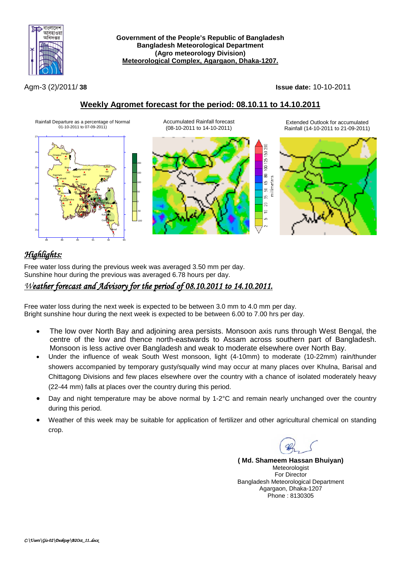

**Government of the People's Republic of Bangladesh Bangladesh Meteorological Department (Agro meteorology Division) Meteorological Complex, Agargaon, Dhaka-1207.**

Agm-3 (2)/2011/ **38 Issue date:** 10-10-2011

### **Weekly Agromet forecast for the period: 08.10.11 to 14.10.2011**



# *Highlights:*

Free water loss during the previous week was averaged 3.50 mm per day. Sunshine hour during the previous was averaged 6.78 hours per day.

## *Weather forecast and Advisory for the period of 08.10.2011 to 14.10.2011.*

Free water loss during the next week is expected to be between 3.0 mm to 4.0 mm per day. Bright sunshine hour during the next week is expected to be between 6.00 to 7.00 hrs per day.

- The low over North Bay and adjoining area persists. Monsoon axis runs through West Bengal, the centre of the low and thence north-eastwards to Assam across southern part of Bangladesh. Monsoon is less active over Bangladesh and weak to moderate elsewhere over North Bay.
- Under the influence of weak South West monsoon, light (4-10mm) to moderate (10-22mm) rain/thunder showers accompanied by temporary gusty/squally wind may occur at many places over Khulna, Barisal and Chittagong Divisions and few places elsewhere over the country with a chance of isolated moderately heavy (22-44 mm) falls at places over the country during this period.
- Day and night temperature may be above normal by 1-2°C and remain nearly unchanged over the country during this period.
- Weather of this week may be suitable for application of fertilizer and other agricultural chemical on standing crop.

**( Md. Shameem Hassan Bhuiyan)** Meteorologist For Director Bangladesh Meteorological Department Agargaon, Dhaka-1207 Phone : 8130305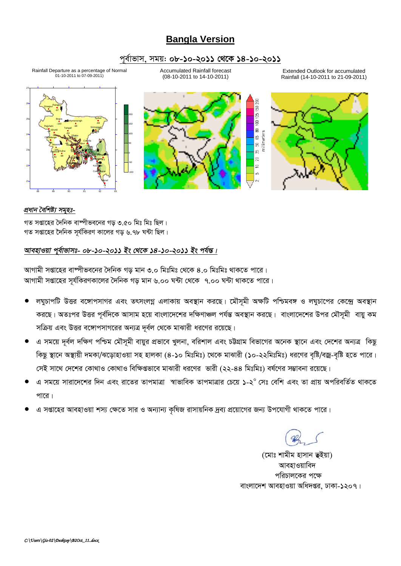## **Bangla Version**

### *c~e©vfvm, mgq: 08-10-2011 †\_‡K 14-10-2011*

Rainfall Departure as a percentage of Normal 01-10-2011 to 07-09-2011)

Accumulated Rainfall forecast (08-10-2011 to 14-10-2011)

Extended Outlook for accumulated Rainfall (14-10-2011 to 21-09-2011)



#### *প্ৰধান বৈশিষ্ট্য সমৃহঃ-*

গত সপ্তাহের দৈনিক বাষ্পীভবনের গড় ৩.৫০ মিঃ মিঃ ছিল। গত সপ্তাহের দৈনিক সর্যকিরণ কালের গড ৬.৭৮ ঘন্টা ছিল।

### *আবহাওয়া প্*ৰ্বাভাসঃ- ০৮-১০-২০১১ ইং থেকে ১৪-১০-২০১১ ইং পৰ্যন্ত।

স্মাগামী সপ্তাহের বাম্পীভবনের দৈনিক গড় মান ৩.০ মিঃমিঃ থেকে ৪.০ মিঃমিঃ থাকতে পারে। *AvMvgx mßv‡ni m~h©wKiYKv‡ji ˆ`wbK Mo gvb 6.00 N›Uv †\_‡K 7.00 N›Uv \_vK‡Z cv‡i|*

- লঘুচাপটি উত্তর বঙ্গোপসাগর এবং তৎসংলগ্ন এলাকায় অবস্থান করছে। মৌসুমী অক্ষটি পশ্চিমবঙ্গ ও লঘুচাপের কেন্দ্রে অবস্থান *কর*ছে। অতঃপর উত্তর পূর্বদিকে আসাম হয়ে বাংলাদেশের দক্ষিণাঞ্চল পর্যন্ত অবস্থান করছে। বাংলাদেশের উপর মৌসূমী বায়ু কম সক্রিয় এবং উত্তর বঙ্গোপসাগরের অন্যত্র দূর্বল থেকে মাঝারী ধরণের রয়েছে।
- *এ* সময়ে দূর্বল দক্ষিণ পশ্চিম মৌসূমী বায়ুর প্রভাবে খুলনা, বরিশাল এবং চট্টগ্রাম বিভাগের অনেক স্থানে এবং দেশের অন্যত্র কিছু কিছু স্থানে অস্থায়ী দমকা/ঝড়োহাওয়া সহ হালকা (৪-১০ মিঃমিঃ) থেকে মাঝারী (১০-২২মিঃমিঃ) ধরণের বৃষ্টি/বজ্র-বৃষ্টি হতে পারে। *†mB mv‡\_ †`‡ki †Kv\_vI †Kv\_vI wewÿßfv‡e gvSvix ai‡Yi fvix (22-44* wgtwgt) el©‡Yi m¤¢vebv i‡q‡Q|
- *G mg‡q mviv‡`‡ki w`b Ges iv‡Zi ZvcgvÎv ¯^vfvweK ZvcgvÎvi †P‡q 1-2<sup>0</sup> †mt †ewk Ges Zv cÖvq AcwiewZ©Z \_vK‡Z*  <u>পারে।</u>
- *G mßv‡ni AvenvIqv km¨ †ÿ‡Z mvi I Ab¨vb¨ K…wlR ivmvqwbK `ªe¨ cÖ‡qv‡Mi Rb¨ Dc‡hvMx \_vK‡Z cv‡i|*

*(*মোঃ শামীম হাসান **ভ**ইয়া) **আবহাওয়াবিদ** *প*রিচালকের পক্ষে বাংলাদেশ আবহাওয়া অধিদপ্তর, ঢাকা-**১**২০৭।